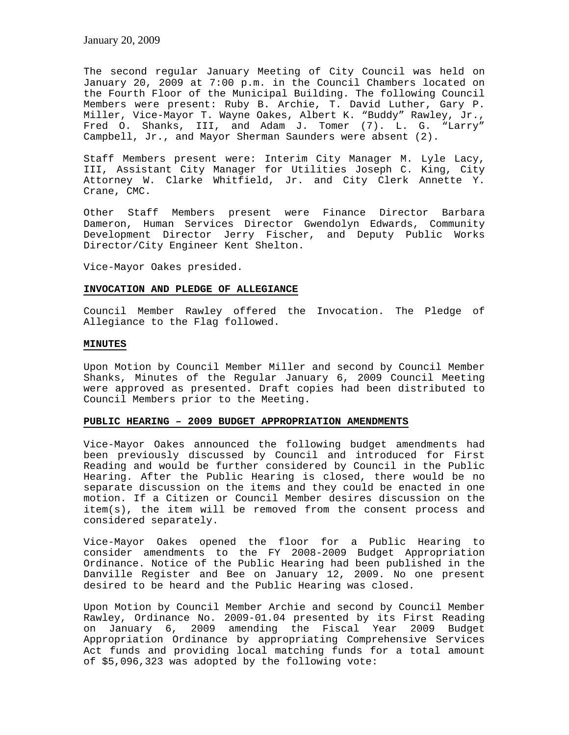The second regular January Meeting of City Council was held on January 20, 2009 at 7:00 p.m. in the Council Chambers located on the Fourth Floor of the Municipal Building. The following Council Members were present: Ruby B. Archie, T. David Luther, Gary P. Miller, Vice-Mayor T. Wayne Oakes, Albert K. "Buddy" Rawley, Jr., Fred O. Shanks, III, and Adam J. Tomer (7). L. G. "Larry" Campbell, Jr., and Mayor Sherman Saunders were absent (2).

Staff Members present were: Interim City Manager M. Lyle Lacy, III, Assistant City Manager for Utilities Joseph C. King, City Attorney W. Clarke Whitfield, Jr. and City Clerk Annette Y. Crane, CMC.

Other Staff Members present were Finance Director Barbara Dameron, Human Services Director Gwendolyn Edwards, Community Development Director Jerry Fischer, and Deputy Public Works Director/City Engineer Kent Shelton.

Vice-Mayor Oakes presided.

#### **INVOCATION AND PLEDGE OF ALLEGIANCE**

Council Member Rawley offered the Invocation. The Pledge of Allegiance to the Flag followed.

#### **MINUTES**

Upon Motion by Council Member Miller and second by Council Member Shanks, Minutes of the Regular January 6, 2009 Council Meeting were approved as presented. Draft copies had been distributed to Council Members prior to the Meeting.

### **PUBLIC HEARING – 2009 BUDGET APPROPRIATION AMENDMENTS**

Vice-Mayor Oakes announced the following budget amendments had been previously discussed by Council and introduced for First Reading and would be further considered by Council in the Public Hearing. After the Public Hearing is closed, there would be no separate discussion on the items and they could be enacted in one motion. If a Citizen or Council Member desires discussion on the item(s), the item will be removed from the consent process and considered separately.

Vice-Mayor Oakes opened the floor for a Public Hearing to consider amendments to the FY 2008-2009 Budget Appropriation Ordinance. Notice of the Public Hearing had been published in the Danville Register and Bee on January 12, 2009. No one present desired to be heard and the Public Hearing was closed.

Upon Motion by Council Member Archie and second by Council Member Rawley, Ordinance No. 2009-01.04 presented by its First Reading on January 6, 2009 amending the Fiscal Year 2009 Budget Appropriation Ordinance by appropriating Comprehensive Services Act funds and providing local matching funds for a total amount of \$5,096,323 was adopted by the following vote: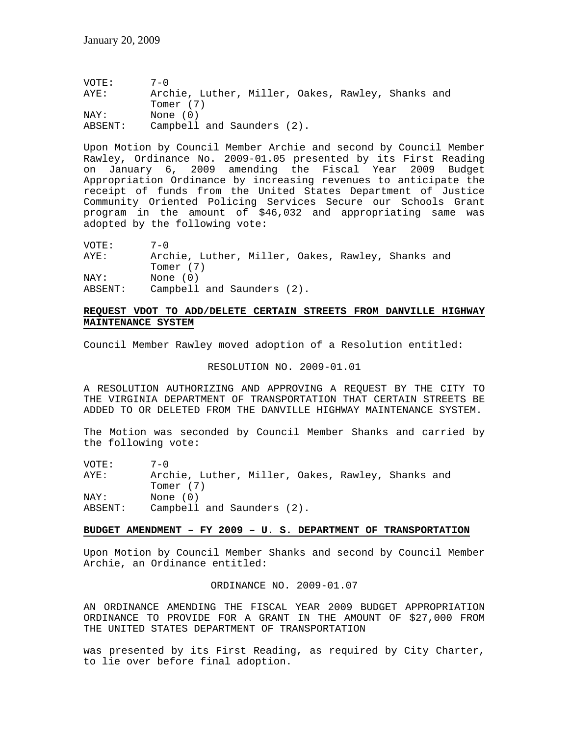VOTE: 7-0 AYE: Archie, Luther, Miller, Oakes, Rawley, Shanks and Tomer (7) NAY: None (0) ABSENT: Campbell and Saunders (2).

Upon Motion by Council Member Archie and second by Council Member Rawley, Ordinance No. 2009-01.05 presented by its First Reading on January 6, 2009 amending the Fiscal Year 2009 Budget Appropriation Ordinance by increasing revenues to anticipate the receipt of funds from the United States Department of Justice Community Oriented Policing Services Secure our Schools Grant program in the amount of \$46,032 and appropriating same was adopted by the following vote:

| VOTE:   | $7 - 0$                                           |
|---------|---------------------------------------------------|
| AYE:    | Archie, Luther, Miller, Oakes, Rawley, Shanks and |
|         | Tomer (7)                                         |
| NAY:    | None (0)                                          |
| ABSENT: | Campbell and Saunders (2).                        |

## **REQUEST VDOT TO ADD/DELETE CERTAIN STREETS FROM DANVILLE HIGHWAY MAINTENANCE SYSTEM**

Council Member Rawley moved adoption of a Resolution entitled:

#### RESOLUTION NO. 2009-01.01

A RESOLUTION AUTHORIZING AND APPROVING A REQUEST BY THE CITY TO THE VIRGINIA DEPARTMENT OF TRANSPORTATION THAT CERTAIN STREETS BE ADDED TO OR DELETED FROM THE DANVILLE HIGHWAY MAINTENANCE SYSTEM.

The Motion was seconded by Council Member Shanks and carried by the following vote:

| VOTE:   | $7 - 0$                                           |
|---------|---------------------------------------------------|
| AYE:    | Archie, Luther, Miller, Oakes, Rawley, Shanks and |
|         | Tomer (7)                                         |
| NAY:    | None $(0)$                                        |
| ABSENT: | Campbell and Saunders (2).                        |

### **BUDGET AMENDMENT – FY 2009 – U. S. DEPARTMENT OF TRANSPORTATION**

Upon Motion by Council Member Shanks and second by Council Member Archie, an Ordinance entitled:

#### ORDINANCE NO. 2009-01.07

AN ORDINANCE AMENDING THE FISCAL YEAR 2009 BUDGET APPROPRIATION ORDINANCE TO PROVIDE FOR A GRANT IN THE AMOUNT OF \$27,000 FROM THE UNITED STATES DEPARTMENT OF TRANSPORTATION

was presented by its First Reading, as required by City Charter, to lie over before final adoption.